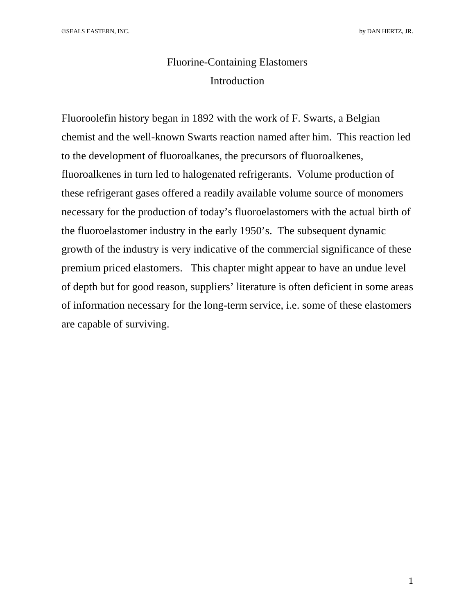# Fluorine-Containing Elastomers Introduction

Fluoroolefin history began in 1892 with the work of F. Swarts, a Belgian chemist and the well-known Swarts reaction named after him. This reaction led to the development of fluoroalkanes, the precursors of fluoroalkenes, fluoroalkenes in turn led to halogenated refrigerants. Volume production of these refrigerant gases offered a readily available volume source of monomers necessary for the production of today's fluoroelastomers with the actual birth of the fluoroelastomer industry in the early 1950's. The subsequent dynamic growth of the industry is very indicative of the commercial significance of these premium priced elastomers. This chapter might appear to have an undue level of depth but for good reason, suppliers' literature is often deficient in some areas of information necessary for the long-term service, i.e. some of these elastomers are capable of surviving.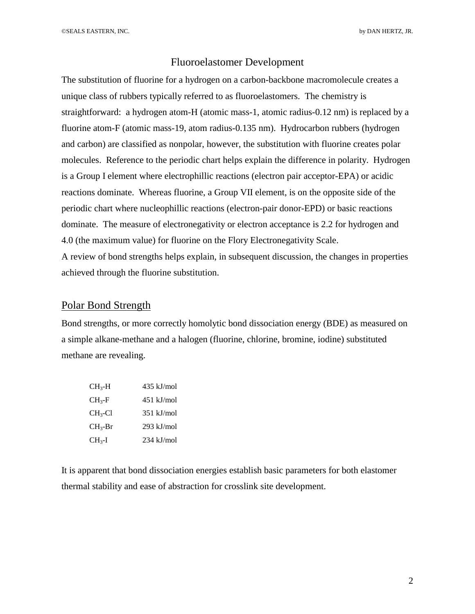©SEALS EASTERN, INC. by DAN HERTZ, JR.

## Fluoroelastomer Development

The substitution of fluorine for a hydrogen on a carbon-backbone macromolecule creates a unique class of rubbers typically referred to as fluoroelastomers. The chemistry is straightforward: a hydrogen atom-H (atomic mass-1, atomic radius-0.12 nm) is replaced by a fluorine atom-F (atomic mass-19, atom radius-0.135 nm). Hydrocarbon rubbers (hydrogen and carbon) are classified as nonpolar, however, the substitution with fluorine creates polar molecules. Reference to the periodic chart helps explain the difference in polarity. Hydrogen is a Group I element where electrophillic reactions (electron pair acceptor-EPA) or acidic reactions dominate. Whereas fluorine, a Group VII element, is on the opposite side of the periodic chart where nucleophillic reactions (electron-pair donor-EPD) or basic reactions dominate. The measure of electronegativity or electron acceptance is 2.2 for hydrogen and 4.0 (the maximum value) for fluorine on the Flory Electronegativity Scale. A review of bond strengths helps explain, in subsequent discussion, the changes in properties achieved through the fluorine substitution.

## Polar Bond Strength

Bond strengths, or more correctly homolytic bond dissociation energy (BDE) as measured on a simple alkane-methane and a halogen (fluorine, chlorine, bromine, iodine) substituted methane are revealing.

| CH3-H                 | $435$ kJ/mol |
|-----------------------|--------------|
| $\rm CH_{3}$ -F       | $451$ kJ/mol |
| $CH_3$ -Cl            | $351$ kJ/mol |
| $CH3-Br$              | $293$ kJ/mol |
| $\rm CH_{3}\text{-}I$ | $234$ kJ/mol |

It is apparent that bond dissociation energies establish basic parameters for both elastomer thermal stability and ease of abstraction for crosslink site development.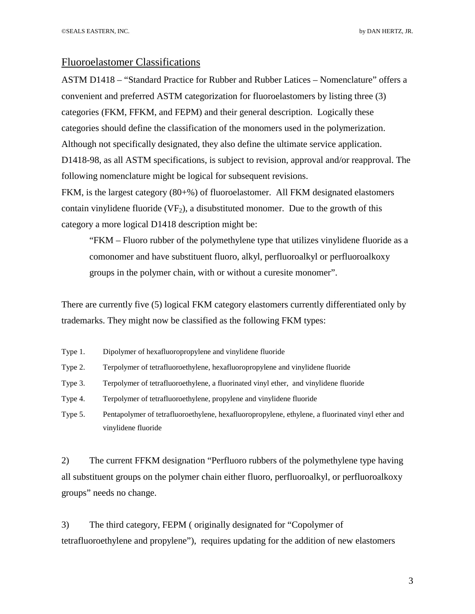### Fluoroelastomer Classifications

ASTM D1418 – "Standard Practice for Rubber and Rubber Latices – Nomenclature" offers a convenient and preferred ASTM categorization for fluoroelastomers by listing three (3) categories (FKM, FFKM, and FEPM) and their general description. Logically these categories should define the classification of the monomers used in the polymerization. Although not specifically designated, they also define the ultimate service application. D1418-98, as all ASTM specifications, is subject to revision, approval and/or reapproval. The following nomenclature might be logical for subsequent revisions.

FKM, is the largest category (80+%) of fluoroelastomer. All FKM designated elastomers contain vinylidene fluoride  $(VF_2)$ , a disubstituted monomer. Due to the growth of this category a more logical D1418 description might be:

"FKM – Fluoro rubber of the polymethylene type that utilizes vinylidene fluoride as a comonomer and have substituent fluoro, alkyl, perfluoroalkyl or perfluoroalkoxy groups in the polymer chain, with or without a curesite monomer".

There are currently five (5) logical FKM category elastomers currently differentiated only by trademarks. They might now be classified as the following FKM types:

- Type 1. Dipolymer of hexafluoropropylene and vinylidene fluoride
- Type 2. Terpolymer of tetrafluoroethylene, hexafluoropropylene and vinylidene fluoride
- Type 3. Terpolymer of tetrafluoroethylene, a fluorinated vinyl ether, and vinylidene fluoride
- Type 4. Terpolymer of tetrafluoroethylene, propylene and vinylidene fluoride
- Type 5. Pentapolymer of tetrafluoroethylene, hexafluoropropylene, ethylene, a fluorinated vinyl ether and vinylidene fluoride

2) The current FFKM designation "Perfluoro rubbers of the polymethylene type having all substituent groups on the polymer chain either fluoro, perfluoroalkyl, or perfluoroalkoxy groups" needs no change.

3) The third category, FEPM ( originally designated for "Copolymer of tetrafluoroethylene and propylene"), requires updating for the addition of new elastomers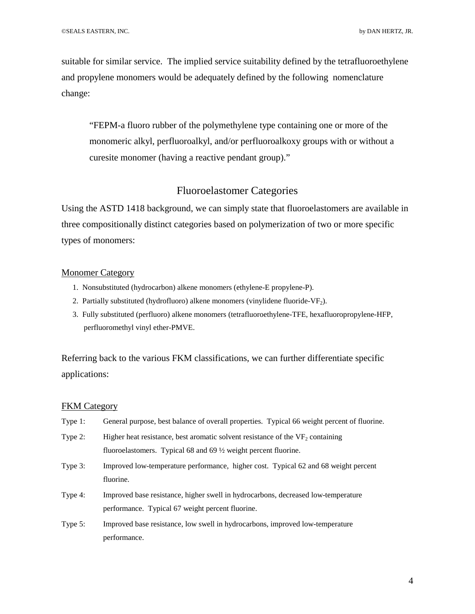suitable for similar service. The implied service suitability defined by the tetrafluoroethylene and propylene monomers would be adequately defined by the following nomenclature change:

"FEPM-a fluoro rubber of the polymethylene type containing one or more of the monomeric alkyl, perfluoroalkyl, and/or perfluoroalkoxy groups with or without a curesite monomer (having a reactive pendant group)."

## Fluoroelastomer Categories

Using the ASTD 1418 background, we can simply state that fluoroelastomers are available in three compositionally distinct categories based on polymerization of two or more specific types of monomers:

#### Monomer Category

- 1. Nonsubstituted (hydrocarbon) alkene monomers (ethylene-E propylene-P).
- 2. Partially substituted (hydrofluoro) alkene monomers (vinylidene fluoride-VF<sub>2</sub>).
- 3. Fully substituted (perfluoro) alkene monomers (tetrafluoroethylene-TFE, hexafluoropropylene-HFP, perfluoromethyl vinyl ether-PMVE.

Referring back to the various FKM classifications, we can further differentiate specific applications:

#### FKM Category

| Type 1: | General purpose, best balance of overall properties. Typical 66 weight percent of fluorine.      |  |  |  |
|---------|--------------------------------------------------------------------------------------------------|--|--|--|
| Type 2: | Higher heat resistance, best aromatic solvent resistance of the $VF2$ containing                 |  |  |  |
|         | fluoroelastomers. Typical 68 and 69 $\frac{1}{2}$ weight percent fluorine.                       |  |  |  |
| Type 3: | Improved low-temperature performance, higher cost. Typical 62 and 68 weight percent<br>fluorine. |  |  |  |
| Type 4: | Improved base resistance, higher swell in hydrocarbons, decreased low-temperature                |  |  |  |
|         | performance. Typical 67 weight percent fluorine.                                                 |  |  |  |
| Type 5: | Improved base resistance, low swell in hydrocarbons, improved low-temperature                    |  |  |  |
|         | performance.                                                                                     |  |  |  |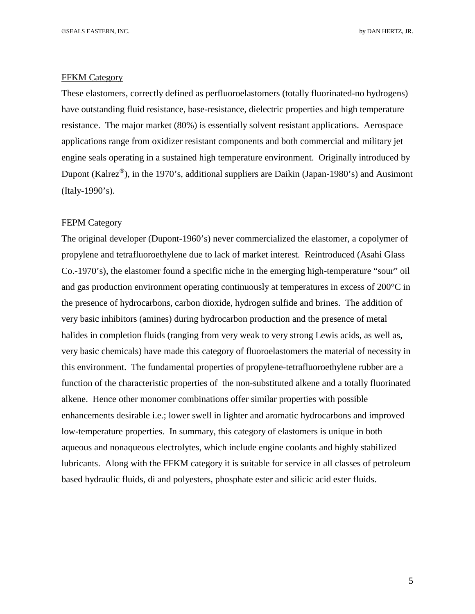#### FFKM Category

These elastomers, correctly defined as perfluoroelastomers (totally fluorinated-no hydrogens) have outstanding fluid resistance, base-resistance, dielectric properties and high temperature resistance. The major market (80%) is essentially solvent resistant applications. Aerospace applications range from oxidizer resistant components and both commercial and military jet engine seals operating in a sustained high temperature environment. Originally introduced by Dupont (Kalrez<sup>®</sup>), in the 1970's, additional suppliers are Daikin (Japan-1980's) and Ausimont (Italy-1990's).

### **FEPM Category**

The original developer (Dupont-1960's) never commercialized the elastomer, a copolymer of propylene and tetrafluoroethylene due to lack of market interest. Reintroduced (Asahi Glass Co.-1970's), the elastomer found a specific niche in the emerging high-temperature "sour" oil and gas production environment operating continuously at temperatures in excess of 200°C in the presence of hydrocarbons, carbon dioxide, hydrogen sulfide and brines. The addition of very basic inhibitors (amines) during hydrocarbon production and the presence of metal halides in completion fluids (ranging from very weak to very strong Lewis acids, as well as, very basic chemicals) have made this category of fluoroelastomers the material of necessity in this environment. The fundamental properties of propylene-tetrafluoroethylene rubber are a function of the characteristic properties of the non-substituted alkene and a totally fluorinated alkene. Hence other monomer combinations offer similar properties with possible enhancements desirable i.e.; lower swell in lighter and aromatic hydrocarbons and improved low-temperature properties. In summary, this category of elastomers is unique in both aqueous and nonaqueous electrolytes, which include engine coolants and highly stabilized lubricants. Along with the FFKM category it is suitable for service in all classes of petroleum based hydraulic fluids, di and polyesters, phosphate ester and silicic acid ester fluids.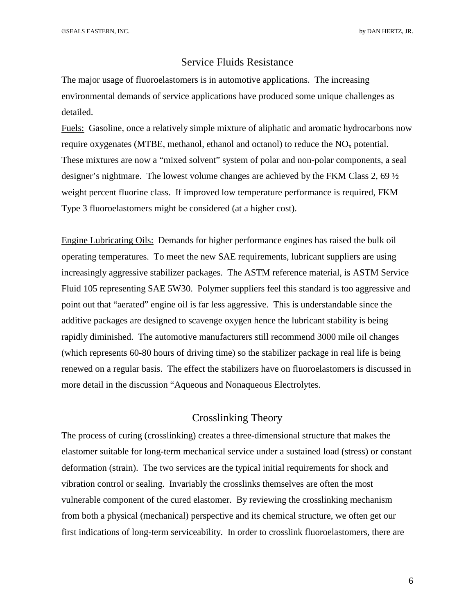©SEALS EASTERN, INC. by DAN HERTZ, JR.

## Service Fluids Resistance

The major usage of fluoroelastomers is in automotive applications. The increasing environmental demands of service applications have produced some unique challenges as detailed.

Fuels: Gasoline, once a relatively simple mixture of aliphatic and aromatic hydrocarbons now require oxygenates (MTBE, methanol, ethanol and octanol) to reduce the  $NO<sub>x</sub>$  potential. These mixtures are now a "mixed solvent" system of polar and non-polar components, a seal designer's nightmare. The lowest volume changes are achieved by the FKM Class 2, 69 ½ weight percent fluorine class. If improved low temperature performance is required, FKM Type 3 fluoroelastomers might be considered (at a higher cost).

Engine Lubricating Oils: Demands for higher performance engines has raised the bulk oil operating temperatures. To meet the new SAE requirements, lubricant suppliers are using increasingly aggressive stabilizer packages. The ASTM reference material, is ASTM Service Fluid 105 representing SAE 5W30. Polymer suppliers feel this standard is too aggressive and point out that "aerated" engine oil is far less aggressive. This is understandable since the additive packages are designed to scavenge oxygen hence the lubricant stability is being rapidly diminished. The automotive manufacturers still recommend 3000 mile oil changes (which represents 60-80 hours of driving time) so the stabilizer package in real life is being renewed on a regular basis. The effect the stabilizers have on fluoroelastomers is discussed in more detail in the discussion "Aqueous and Nonaqueous Electrolytes.

## Crosslinking Theory

The process of curing (crosslinking) creates a three-dimensional structure that makes the elastomer suitable for long-term mechanical service under a sustained load (stress) or constant deformation (strain). The two services are the typical initial requirements for shock and vibration control or sealing. Invariably the crosslinks themselves are often the most vulnerable component of the cured elastomer. By reviewing the crosslinking mechanism from both a physical (mechanical) perspective and its chemical structure, we often get our first indications of long-term serviceability. In order to crosslink fluoroelastomers, there are

6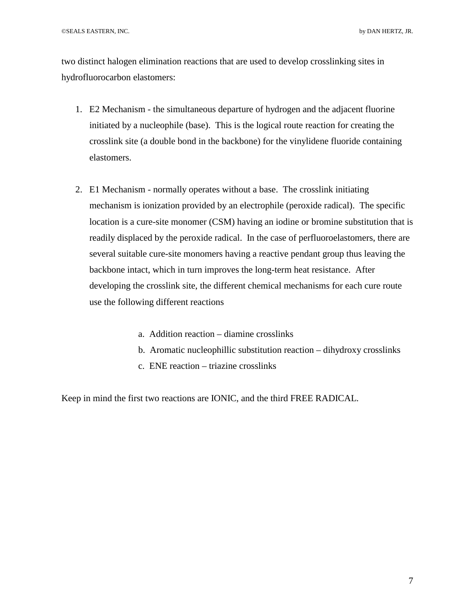two distinct halogen elimination reactions that are used to develop crosslinking sites in hydrofluorocarbon elastomers:

- 1. E2 Mechanism the simultaneous departure of hydrogen and the adjacent fluorine initiated by a nucleophile (base). This is the logical route reaction for creating the crosslink site (a double bond in the backbone) for the vinylidene fluoride containing elastomers.
- 2. E1 Mechanism normally operates without a base. The crosslink initiating mechanism is ionization provided by an electrophile (peroxide radical). The specific location is a cure-site monomer (CSM) having an iodine or bromine substitution that is readily displaced by the peroxide radical. In the case of perfluoroelastomers, there are several suitable cure-site monomers having a reactive pendant group thus leaving the backbone intact, which in turn improves the long-term heat resistance. After developing the crosslink site, the different chemical mechanisms for each cure route use the following different reactions
	- a. Addition reaction diamine crosslinks
	- b. Aromatic nucleophillic substitution reaction dihydroxy crosslinks
	- c. ENE reaction triazine crosslinks

Keep in mind the first two reactions are IONIC, and the third FREE RADICAL.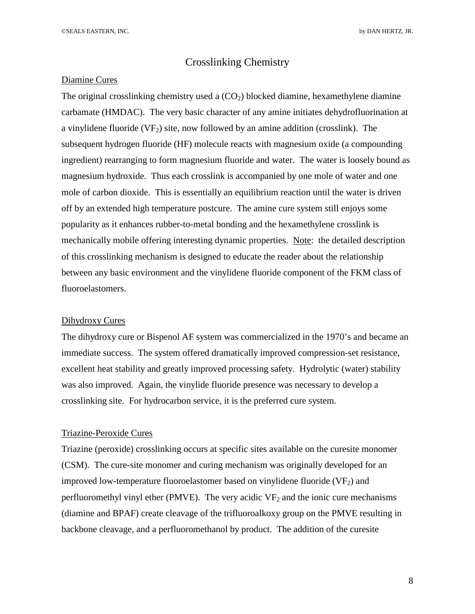### Crosslinking Chemistry

#### Diamine Cures

The original crosslinking chemistry used a  $(CO<sub>2</sub>)$  blocked diamine, hexamethylene diamine carbamate (HMDAC). The very basic character of any amine initiates dehydrofluorination at a vinylidene fluoride  $(VF_2)$  site, now followed by an amine addition (crosslink). The subsequent hydrogen fluoride (HF) molecule reacts with magnesium oxide (a compounding ingredient) rearranging to form magnesium fluoride and water. The water is loosely bound as magnesium hydroxide. Thus each crosslink is accompanied by one mole of water and one mole of carbon dioxide. This is essentially an equilibrium reaction until the water is driven off by an extended high temperature postcure. The amine cure system still enjoys some popularity as it enhances rubber-to-metal bonding and the hexamethylene crosslink is mechanically mobile offering interesting dynamic properties. Note: the detailed description of this crosslinking mechanism is designed to educate the reader about the relationship between any basic environment and the vinylidene fluoride component of the FKM class of fluoroelastomers.

#### Dihydroxy Cures

The dihydroxy cure or Bispenol AF system was commercialized in the 1970's and became an immediate success. The system offered dramatically improved compression-set resistance, excellent heat stability and greatly improved processing safety. Hydrolytic (water) stability was also improved. Again, the vinylide fluoride presence was necessary to develop a crosslinking site. For hydrocarbon service, it is the preferred cure system.

#### Triazine-Peroxide Cures

Triazine (peroxide) crosslinking occurs at specific sites available on the curesite monomer (CSM). The cure-site monomer and curing mechanism was originally developed for an improved low-temperature fluoroelastomer based on vinylidene fluoride  $(VF_2)$  and perfluoromethyl vinyl ether (PMVE). The very acidic  $VF_2$  and the ionic cure mechanisms (diamine and BPAF) create cleavage of the trifluoroalkoxy group on the PMVE resulting in backbone cleavage, and a perfluoromethanol by product. The addition of the curesite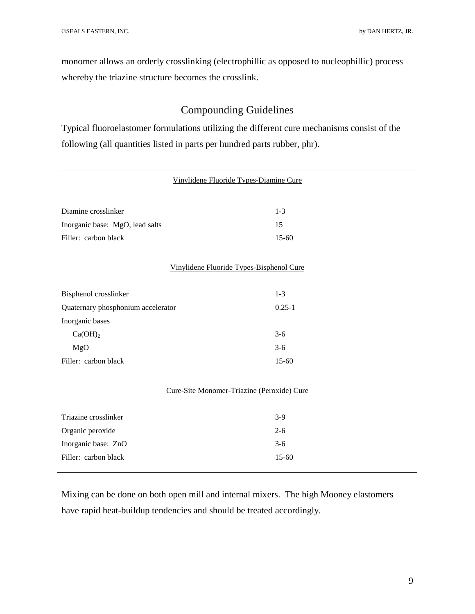monomer allows an orderly crosslinking (electrophillic as opposed to nucleophillic) process whereby the triazine structure becomes the crosslink.

## Compounding Guidelines

Typical fluoroelastomer formulations utilizing the different cure mechanisms consist of the following (all quantities listed in parts per hundred parts rubber, phr).

|                                    | Vinylidene Fluoride Types-Diamine Cure     |  |
|------------------------------------|--------------------------------------------|--|
| Diamine crosslinker                | $1-3$                                      |  |
| Inorganic base: MgO, lead salts    | 15                                         |  |
| Filler: carbon black               | $15 - 60$                                  |  |
|                                    | Vinylidene Fluoride Types-Bisphenol Cure   |  |
| Bisphenol crosslinker              | $1 - 3$                                    |  |
| Quaternary phosphonium accelerator | $0.25 - 1$                                 |  |
| Inorganic bases                    |                                            |  |
| Ca(OH) <sub>2</sub>                | $3-6$                                      |  |
| MgO                                | $3-6$                                      |  |
| Filler: carbon black               | 15-60                                      |  |
|                                    | Cure-Site Monomer-Triazine (Peroxide) Cure |  |
| Triazine crosslinker               | $3-9$                                      |  |
| Organic peroxide                   | $2 - 6$                                    |  |
| Inorganic base: ZnO                | $3-6$                                      |  |
| Filler: carbon black               | 15-60                                      |  |

Mixing can be done on both open mill and internal mixers. The high Mooney elastomers have rapid heat-buildup tendencies and should be treated accordingly.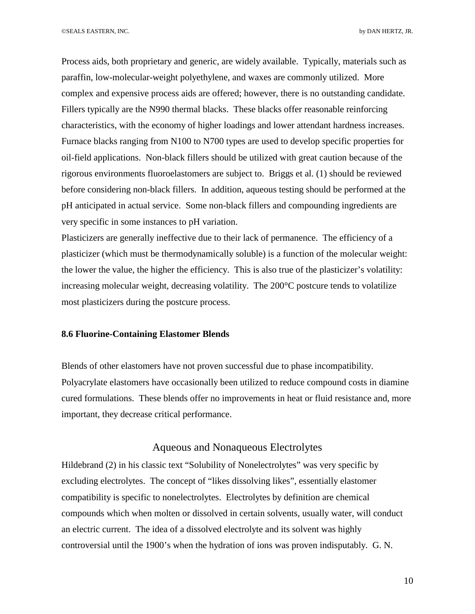Process aids, both proprietary and generic, are widely available. Typically, materials such as paraffin, low-molecular-weight polyethylene, and waxes are commonly utilized. More complex and expensive process aids are offered; however, there is no outstanding candidate. Fillers typically are the N990 thermal blacks. These blacks offer reasonable reinforcing characteristics, with the economy of higher loadings and lower attendant hardness increases. Furnace blacks ranging from N100 to N700 types are used to develop specific properties for oil-field applications. Non-black fillers should be utilized with great caution because of the rigorous environments fluoroelastomers are subject to. Briggs et al. (1) should be reviewed before considering non-black fillers. In addition, aqueous testing should be performed at the pH anticipated in actual service. Some non-black fillers and compounding ingredients are very specific in some instances to pH variation.

Plasticizers are generally ineffective due to their lack of permanence. The efficiency of a plasticizer (which must be thermodynamically soluble) is a function of the molecular weight: the lower the value, the higher the efficiency. This is also true of the plasticizer's volatility: increasing molecular weight, decreasing volatility. The 200°C postcure tends to volatilize most plasticizers during the postcure process.

## **8.6 Fluorine-Containing Elastomer Blends**

Blends of other elastomers have not proven successful due to phase incompatibility. Polyacrylate elastomers have occasionally been utilized to reduce compound costs in diamine cured formulations. These blends offer no improvements in heat or fluid resistance and, more important, they decrease critical performance.

## Aqueous and Nonaqueous Electrolytes

Hildebrand (2) in his classic text "Solubility of Nonelectrolytes" was very specific by excluding electrolytes. The concept of "likes dissolving likes", essentially elastomer compatibility is specific to nonelectrolytes. Electrolytes by definition are chemical compounds which when molten or dissolved in certain solvents, usually water, will conduct an electric current. The idea of a dissolved electrolyte and its solvent was highly controversial until the 1900's when the hydration of ions was proven indisputably. G. N.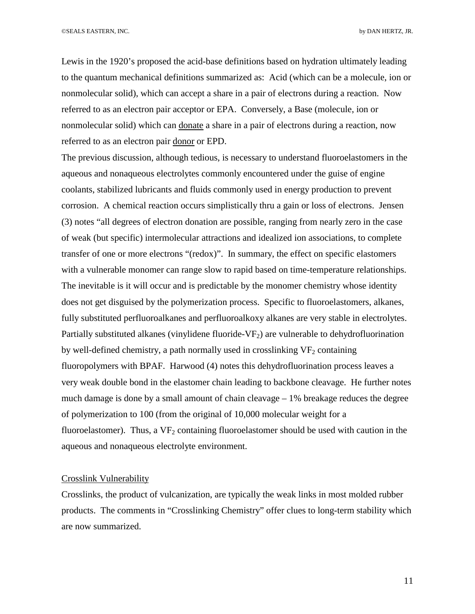©SEALS EASTERN, INC. by DAN HERTZ, JR.

Lewis in the 1920's proposed the acid-base definitions based on hydration ultimately leading to the quantum mechanical definitions summarized as: Acid (which can be a molecule, ion or nonmolecular solid), which can accept a share in a pair of electrons during a reaction. Now referred to as an electron pair acceptor or EPA. Conversely, a Base (molecule, ion or nonmolecular solid) which can donate a share in a pair of electrons during a reaction, now referred to as an electron pair donor or EPD.

The previous discussion, although tedious, is necessary to understand fluoroelastomers in the aqueous and nonaqueous electrolytes commonly encountered under the guise of engine coolants, stabilized lubricants and fluids commonly used in energy production to prevent corrosion. A chemical reaction occurs simplistically thru a gain or loss of electrons. Jensen (3) notes "all degrees of electron donation are possible, ranging from nearly zero in the case of weak (but specific) intermolecular attractions and idealized ion associations, to complete transfer of one or more electrons "(redox)". In summary, the effect on specific elastomers with a vulnerable monomer can range slow to rapid based on time-temperature relationships. The inevitable is it will occur and is predictable by the monomer chemistry whose identity does not get disguised by the polymerization process. Specific to fluoroelastomers, alkanes, fully substituted perfluoroalkanes and perfluoroalkoxy alkanes are very stable in electrolytes. Partially substituted alkanes (vinylidene fluoride-VF $_2$ ) are vulnerable to dehydrofluorination by well-defined chemistry, a path normally used in crosslinking  $VF<sub>2</sub>$  containing fluoropolymers with BPAF. Harwood (4) notes this dehydrofluorination process leaves a very weak double bond in the elastomer chain leading to backbone cleavage. He further notes much damage is done by a small amount of chain cleavage  $-1\%$  breakage reduces the degree of polymerization to 100 (from the original of 10,000 molecular weight for a fluoroelastomer). Thus, a  $VF_2$  containing fluoroelastomer should be used with caution in the aqueous and nonaqueous electrolyte environment.

#### Crosslink Vulnerability

Crosslinks, the product of vulcanization, are typically the weak links in most molded rubber products. The comments in "Crosslinking Chemistry" offer clues to long-term stability which are now summarized.

11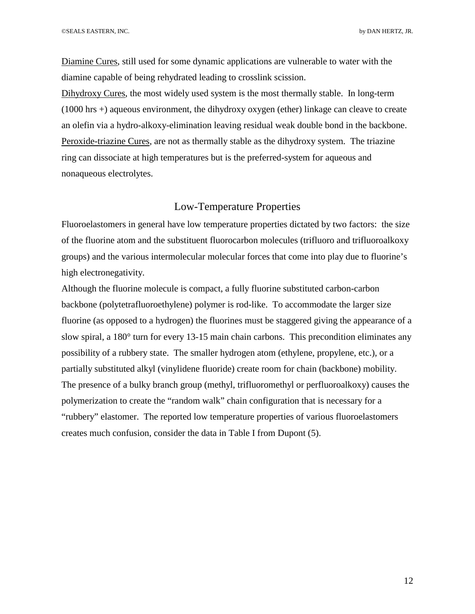Diamine Cures, still used for some dynamic applications are vulnerable to water with the diamine capable of being rehydrated leading to crosslink scission.

Dihydroxy Cures, the most widely used system is the most thermally stable. In long-term (1000 hrs +) aqueous environment, the dihydroxy oxygen (ether) linkage can cleave to create an olefin via a hydro-alkoxy-elimination leaving residual weak double bond in the backbone. Peroxide-triazine Cures, are not as thermally stable as the dihydroxy system. The triazine ring can dissociate at high temperatures but is the preferred-system for aqueous and nonaqueous electrolytes.

## Low-Temperature Properties

Fluoroelastomers in general have low temperature properties dictated by two factors: the size of the fluorine atom and the substituent fluorocarbon molecules (trifluoro and trifluoroalkoxy groups) and the various intermolecular molecular forces that come into play due to fluorine's high electronegativity.

Although the fluorine molecule is compact, a fully fluorine substituted carbon-carbon backbone (polytetrafluoroethylene) polymer is rod-like. To accommodate the larger size fluorine (as opposed to a hydrogen) the fluorines must be staggered giving the appearance of a slow spiral, a 180° turn for every 13-15 main chain carbons. This precondition eliminates any possibility of a rubbery state. The smaller hydrogen atom (ethylene, propylene, etc.), or a partially substituted alkyl (vinylidene fluoride) create room for chain (backbone) mobility. The presence of a bulky branch group (methyl, trifluoromethyl or perfluoroalkoxy) causes the polymerization to create the "random walk" chain configuration that is necessary for a "rubbery" elastomer. The reported low temperature properties of various fluoroelastomers creates much confusion, consider the data in Table I from Dupont (5).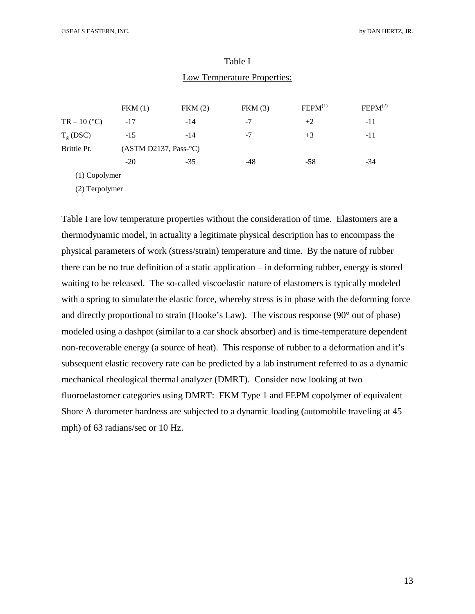|                | FKM(1)                            | FKM(2) | FKM(3) | FEPM <sup>(1)</sup> | FEPM <sup>(2)</sup> |
|----------------|-----------------------------------|--------|--------|---------------------|---------------------|
| $TR - 10 (°C)$ | $-17$                             | $-14$  | $-7$   | $+2$                | $-11$               |
| $T_{g}$ (DSC)  | $-15$                             | $-14$  | $-7$   | $+3$                | $-11$               |
| Brittle Pt.    | (ASTM D2137, Pass <sup>°</sup> C) |        |        |                     |                     |
|                | $-20$                             | $-35$  | -48    | $-58$               | $-34$               |
| (1) Copolymer  |                                   |        |        |                     |                     |

## Table I Low Temperature Properties:

(2) Terpolymer

Table I are low temperature properties without the consideration of time. Elastomers are a thermodynamic model, in actuality a legitimate physical description has to encompass the physical parameters of work (stress/strain) temperature and time. By the nature of rubber there can be no true definition of a static application – in deforming rubber, energy is stored waiting to be released. The so-called viscoelastic nature of elastomers is typically modeled with a spring to simulate the elastic force, whereby stress is in phase with the deforming force and directly proportional to strain (Hooke's Law). The viscous response (90° out of phase) modeled using a dashpot (similar to a car shock absorber) and is time-temperature dependent non-recoverable energy (a source of heat). This response of rubber to a deformation and it's subsequent elastic recovery rate can be predicted by a lab instrument referred to as a dynamic mechanical rheological thermal analyzer (DMRT). Consider now looking at two fluoroelastomer categories using DMRT: FKM Type 1 and FEPM copolymer of equivalent Shore A durometer hardness are subjected to a dynamic loading (automobile traveling at 45 mph) of 63 radians/sec or 10 Hz.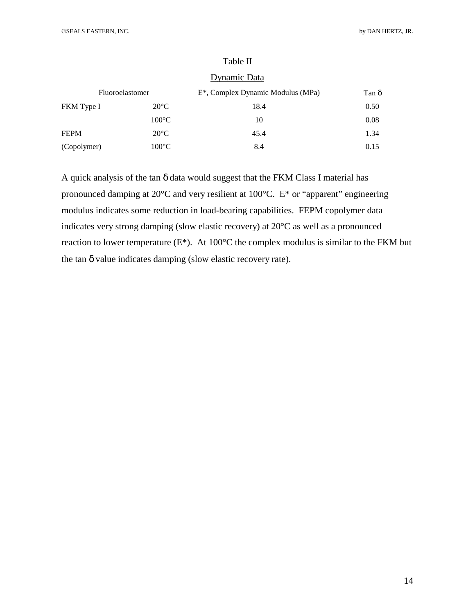|             |                 | Dynamic Data                                   |              |
|-------------|-----------------|------------------------------------------------|--------------|
|             | Fluoroelastomer | E <sup>*</sup> , Complex Dynamic Modulus (MPa) | Tan $\delta$ |
| FKM Type I  | $20^{\circ}$ C  | 18.4                                           | 0.50         |
|             | $100^{\circ}$ C | 10                                             | 0.08         |
| <b>FEPM</b> | $20^{\circ}C$   | 45.4                                           | 1.34         |
| (Copolymer) | $100^{\circ}$ C | 8.4                                            | 0.15         |

## Table II

#### **Dynamic Data**

A quick analysis of the tan δ data would suggest that the FKM Class I material has pronounced damping at 20°C and very resilient at 100°C. E\* or "apparent" engineering modulus indicates some reduction in load-bearing capabilities. FEPM copolymer data indicates very strong damping (slow elastic recovery) at 20°C as well as a pronounced reaction to lower temperature (E\*). At 100°C the complex modulus is similar to the FKM but the tan δ value indicates damping (slow elastic recovery rate).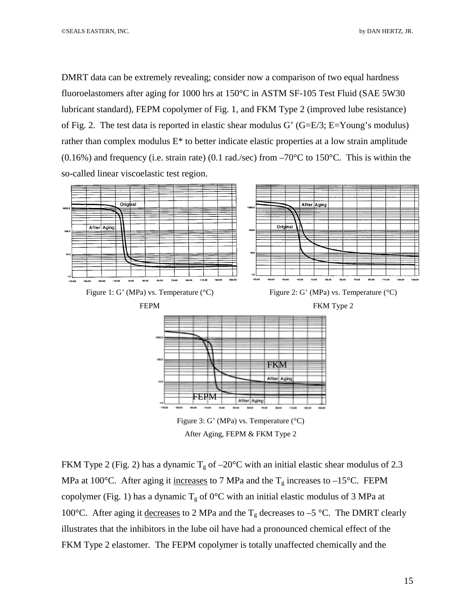DMRT data can be extremely revealing; consider now a comparison of two equal hardness fluoroelastomers after aging for 1000 hrs at 150°C in ASTM SF-105 Test Fluid (SAE 5W30 lubricant standard), FEPM copolymer of Fig. 1, and FKM Type 2 (improved lube resistance) of Fig. 2. The test data is reported in elastic shear modulus G' (G=E/3; E=Young's modulus) rather than complex modulus E\* to better indicate elastic properties at a low strain amplitude  $(0.16\%)$  and frequency (i.e. strain rate) (0.1 rad./sec) from  $-70\degree$ C to 150 $\degree$ C. This is within the so-called linear viscoelastic test region.



FKM Type 2 (Fig. 2) has a dynamic  $T_g$  of  $-20^{\circ}$ C with an initial elastic shear modulus of 2.3 MPa at 100°C. After aging it increases to 7 MPa and the  $T_g$  increases to -15°C. FEPM copolymer (Fig. 1) has a dynamic  $T_g$  of 0°C with an initial elastic modulus of 3 MPa at 100°C. After aging it decreases to 2 MPa and the  $T_g$  decreases to –5 °C. The DMRT clearly illustrates that the inhibitors in the lube oil have had a pronounced chemical effect of the FKM Type 2 elastomer. The FEPM copolymer is totally unaffected chemically and the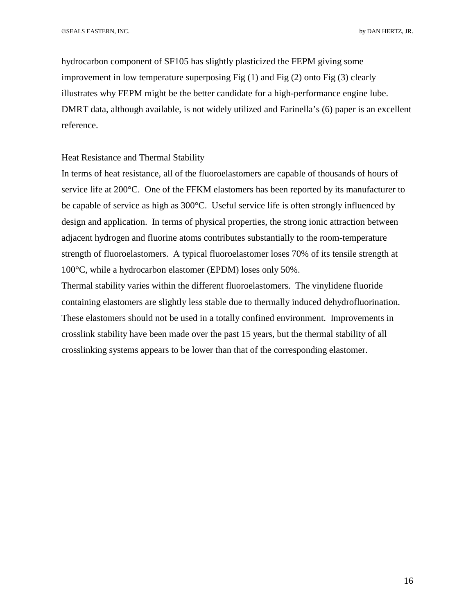hydrocarbon component of SF105 has slightly plasticized the FEPM giving some improvement in low temperature superposing Fig (1) and Fig (2) onto Fig (3) clearly illustrates why FEPM might be the better candidate for a high-performance engine lube. DMRT data, although available, is not widely utilized and Farinella's (6) paper is an excellent reference.

#### Heat Resistance and Thermal Stability

In terms of heat resistance, all of the fluoroelastomers are capable of thousands of hours of service life at 200°C. One of the FFKM elastomers has been reported by its manufacturer to be capable of service as high as 300°C. Useful service life is often strongly influenced by design and application. In terms of physical properties, the strong ionic attraction between adjacent hydrogen and fluorine atoms contributes substantially to the room-temperature strength of fluoroelastomers. A typical fluoroelastomer loses 70% of its tensile strength at 100°C, while a hydrocarbon elastomer (EPDM) loses only 50%.

Thermal stability varies within the different fluoroelastomers. The vinylidene fluoride containing elastomers are slightly less stable due to thermally induced dehydrofluorination. These elastomers should not be used in a totally confined environment. Improvements in crosslink stability have been made over the past 15 years, but the thermal stability of all crosslinking systems appears to be lower than that of the corresponding elastomer.